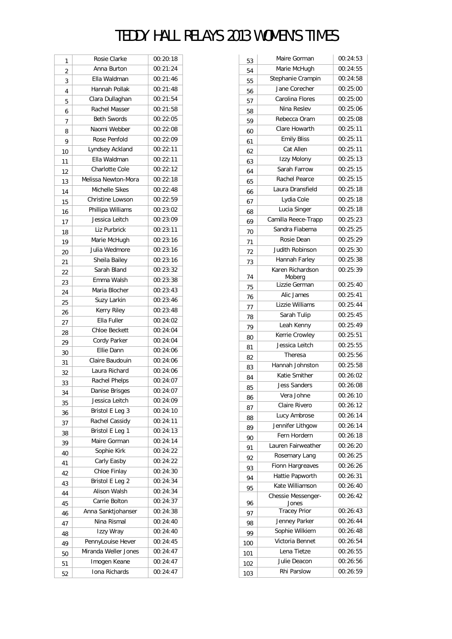## TEDDY HALL RELAYS 2013 WOMEN'S TIMES

| 1  | Rosie Clarke         | 00:20:18 |
|----|----------------------|----------|
| 2  | Anna Burton          | 00:21:24 |
| 3  | Ella Waldman         | 00:21:46 |
| 4  | Hannah Pollak        | 00:21:48 |
| 5  | Clara Dullaghan      | 00:21:54 |
| 6  | Rachel Masser        | 00:21:58 |
| 7  | <b>Beth Swords</b>   | 00:22:05 |
| 8  | Naomi Webber         | 00:22:08 |
| 9  | Rose Penfold         | 00:22:09 |
| 10 | Lyndsey Ackland      | 00:22:11 |
| 11 | Ella Waldman         | 00:22:11 |
| 12 | Charlotte Cole       | 00:22:12 |
| 13 | Melissa Newton-Mora  | 00:22:18 |
| 14 | Michelle Sikes       | 00:22:48 |
| 15 | Christine Lowson     | 00:22:59 |
| 16 | Phillipa Williams    | 00:23:02 |
| 17 | Jessica Leitch       | 00:23:09 |
| 18 | Liz Purbrick         | 00:23:11 |
| 19 | Marie McHugh         | 00:23:16 |
| 20 | Julia Wedmore        | 00:23:16 |
| 21 | Sheila Bailey        | 00:23:16 |
| 22 | Sarah Bland          | 00:23:32 |
| 23 | Emma Walsh           | 00:23:38 |
| 24 | Maria Blocher        | 00:23:43 |
| 25 | Suzy Larkin          | 00:23:46 |
| 26 | Kerry Riley          | 00:23:48 |
| 27 | Ella Fuller          | 00:24:02 |
| 28 | <b>Chloe Beckett</b> | 00:24:04 |
| 29 | Cordy Parker         | 00:24:04 |
| 30 | <b>Ellie Dann</b>    | 00:24:06 |
| 31 | Claire Baudouin      | 00:24:06 |
| 32 | Laura Richard        | 00:24:06 |
| 33 | Rachel Phelps        | 00:24:07 |
| 34 | Danise Brisges       | 00:24:07 |
| 35 | Jessica Leitch       | 00:24:09 |
| 36 | Bristol E Leg 3      | 00:24:10 |
| 37 | Rachel Cassidy       | 00:24:11 |
| 38 | Bristol E Leg 1      | 00:24:13 |
| 39 | Maire Gorman         | 00:24:14 |
| 40 | Sophie Kirk          | 00:24:22 |
| 41 | Carly Easby          | 00:24:22 |
| 42 | Chloe Finlay         | 00:24:30 |
| 43 | Bristol E Leg 2      | 00:24:34 |
| 44 | Alison Walsh         | 00:24:34 |
| 45 | Carrie Bolton        | 00:24:37 |
| 46 | Anna Sanktjohanser   | 00:24:38 |
| 47 | Nina Rismal          | 00:24:40 |
| 48 | Izzy Wray            | 00:24:40 |
| 49 | PennyLouise Hever    | 00:24:45 |
| 50 | Miranda Weller Jones | 00:24:47 |
| 51 | Imogen Keane         | 00:24:47 |
| 52 | Iona Richards        | 00:24:47 |
|    |                      |          |

| 53  | Maire Gorman                 | 00:24:53 |
|-----|------------------------------|----------|
| 54  | Marie McHugh                 | 00:24:55 |
| 55  | Stephanie Crampin            | 00:24:58 |
| 56  | Jane Corecher                | 00:25:00 |
| 57  | Carolina Flores              | 00:25:00 |
| 58  | Nina Reslev                  | 00:25:06 |
| 59  | Rebecca Oram                 | 00:25:08 |
| 60  | Clare Howarth                | 00:25:11 |
| 61  | <b>Emily Bliss</b>           | 00:25:11 |
| 62  | Cat Allen                    | 00:25:11 |
| 63  | Izzy Molony                  | 00:25:13 |
| 64  | Sarah Farrow                 | 00:25:15 |
| 65  | Rachel Pearce                | 00:25:15 |
| 66  | Laura Dransfield             | 00:25:18 |
| 67  | Lydia Cole                   | 00:25:18 |
| 68  | Lucia Singer                 | 00:25:18 |
| 69  | Camilla Reece-Trapp          | 00:25:23 |
| 70  | Sandra Fiabema               | 00:25:25 |
| 71  | Rosie Dean                   | 00:25:29 |
| 72  | Judith Robinson              | 00:25:30 |
| 73  | Hannah Farley                | 00:25:38 |
|     | Karen Richardson             | 00:25:39 |
| 74  | Moberg                       |          |
| 75  | Lizzie German                | 00:25:40 |
| 76  | Alic James                   | 00:25:41 |
| 77  | Lizzie Williams              | 00:25:44 |
| 78  | Sarah Tulip                  | 00:25:45 |
| 79  | Leah Kenny                   | 00:25:49 |
| 80  | Kerrie Crowley               | 00:25:51 |
| 81  | Jessica Leitch               | 00:25:55 |
| 82  | Theresa                      | 00:25:56 |
| 83  | Hannah Johnston              | 00:25:58 |
| 84  | Katie Smither                | 00:26:02 |
| 85  | <b>Jess Sanders</b>          | 00:26:08 |
| 86  | Vera Johne                   | 00:26:10 |
| 87  | Claire Rivero                | 00:26:12 |
| 88  | Lucy Ambrose                 | 00:26:14 |
| 89  | Jennifer Lithgow             | 00:26:14 |
| 90  | Fern Hordern                 | 00:26:18 |
| 91  | Lauren Fairweather           | 00:26:20 |
| 92  | Rosemary Lang                | 00:26:25 |
| 93  | Fionn Hargreaves             | 00:26:26 |
| 94  | Hattie Papworth              | 00:26:31 |
| 95  | Kate Williamson              | 00:26:40 |
|     | Chessie Messenger-           | 00:26:42 |
| 96  | Jones<br><b>Tracey Prior</b> | 00:26:43 |
| 97  | Jenney Parker                | 00:26:44 |
| 98  | Sophie Wilkiem               | 00:26:48 |
| 99  | Victoria Bennet              | 00:26:54 |
| 100 | Lena Tietze                  | 00:26:55 |
| 101 | Julie Deacon                 | 00:26:56 |
| 102 | Rhi Parslow                  | 00:26:59 |
| 103 |                              |          |